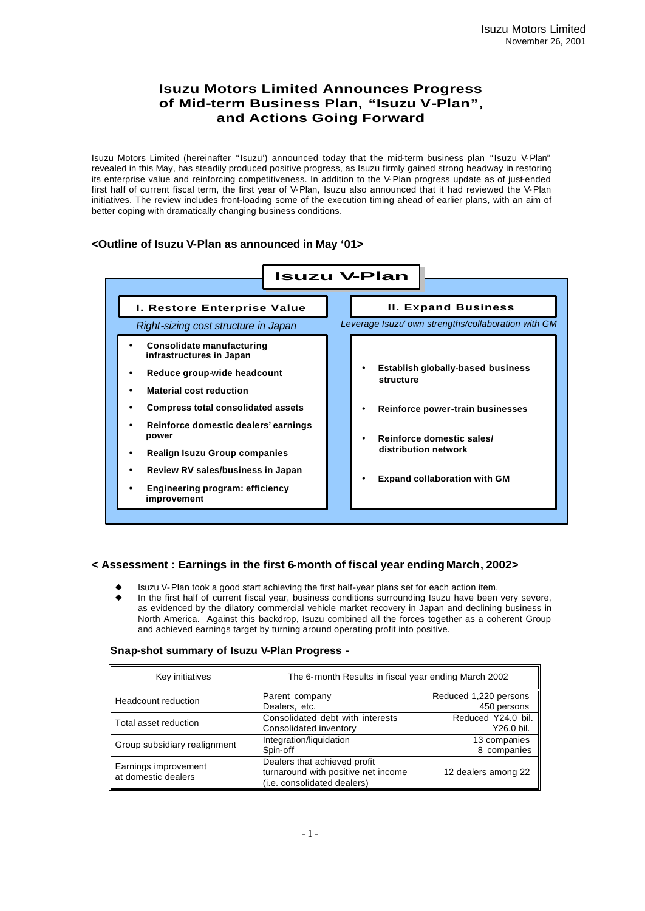# **Isuzu Motors Limited Announces Progress of Mid-term Business Plan, "Isuzu V-Plan", and Actions Going Forward**

Isuzu Motors Limited (hereinafter "Isuzu") announced today that the mid-term business plan "Isuzu V-Plan" revealed in this May, has steadily produced positive progress, as Isuzu firmly gained strong headway in restoring its enterprise value and reinforcing competitiveness. In addition to the V-Plan progress update as of just-ended first half of current fiscal term, the first year of V-Plan, Isuzu also announced that it had reviewed the V-Plan initiatives. The review includes front-loading some of the execution timing ahead of earlier plans, with an aim of better coping with dramatically changing business conditions.

## **<Outline of Isuzu V-Plan as announced in May '01>**



## **< Assessment : Earnings in the first 6-month of fiscal year ending March, 2002>**

- u Isuzu V-Plan took a good start achieving the first half-year plans set for each action item.
- In the first half of current fiscal year, business conditions surrounding Isuzu have been very severe, as evidenced by the dilatory commercial vehicle market recovery in Japan and declining business in North America. Against this backdrop, Isuzu combined all the forces together as a coherent Group and achieved earnings target by turning around operating profit into positive.

#### **Snap-shot summary of Isuzu V-Plan Progress -**

| Key initiatives                             | The 6-month Results in fiscal year ending March 2002                                               |                                      |  |
|---------------------------------------------|----------------------------------------------------------------------------------------------------|--------------------------------------|--|
| Headcount reduction                         | Parent company<br>Dealers, etc.                                                                    | Reduced 1,220 persons<br>450 persons |  |
| Total asset reduction                       | Consolidated debt with interests<br>Consolidated inventory                                         | Reduced Y24.0 bil.<br>Y26.0 bil.     |  |
| Group subsidiary realignment                | Integration/liquidation<br>Spin-off                                                                | 13 companies<br>8 companies          |  |
| Earnings improvement<br>at domestic dealers | Dealers that achieved profit<br>turnaround with positive net income<br>(i.e. consolidated dealers) | 12 dealers among 22                  |  |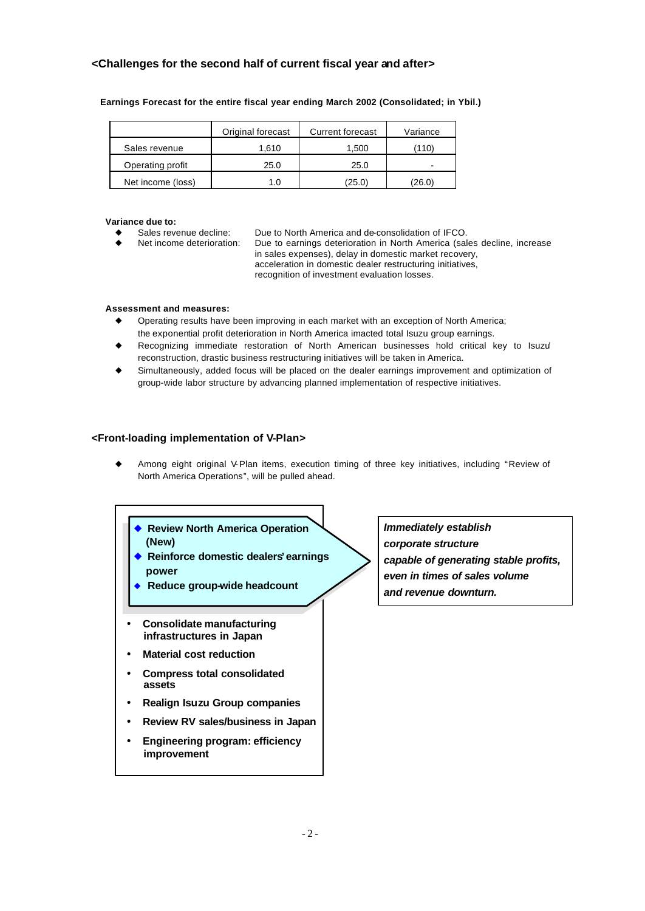## **<Challenges for the second half of current fiscal year and after>**

|                   | Original forecast | <b>Current forecast</b> | Variance |
|-------------------|-------------------|-------------------------|----------|
| Sales revenue     | 1.610             | 1,500                   | (110)    |
| Operating profit  | 25.0              | 25.0                    | -        |
| Net income (loss) | 1.0               | (25.0)                  | (26.0)   |

#### **Earnings Forecast for the entire fiscal year ending March 2002 (Consolidated; in Ybil.)**

#### **Variance due to:**

Sales revenue decline: Due to North America and de-consolidation of IFCO.

Net income deterioration: Due to earnings deterioration in North America (sales decline, increase in sales expenses), delay in domestic market recovery, acceleration in domestic dealer restructuring initiatives, recognition of investment evaluation losses.

#### **Assessment and measures:**

- Operating results have been improving in each market with an exception of North America; the exponential profit deterioration in North America imacted total Isuzu group earnings.
- Recognizing immediate restoration of North American businesses hold critical key to Isuzu' reconstruction, drastic business restructuring initiatives will be taken in America.
- Simultaneously, added focus will be placed on the dealer earnings improvement and optimization of group-wide labor structure by advancing planned implementation of respective initiatives.

### **<Front-loading implementation of V-Plan>**

- Among eight original V-Plan items, execution timing of three key initiatives, including "Review of North America Operations", will be pulled ahead.
	- **◆ Review North America Operation (New)**
		- ◆ Reinforce domestic dealers' earnings **power**
	- **Reduce group-wide headcount**
	- **Consolidate manufacturing infrastructures in Japan**
	- **Material cost reduction**
	- **Compress total consolidated assets**
	- **Realign Isuzu Group companies**
	- **Review RV sales/business in Japan**
	- **Engineering program: efficiency improvement**

*Immediately establish corporate structure capable of generating stable profits, even in times of sales volume and revenue downturn.*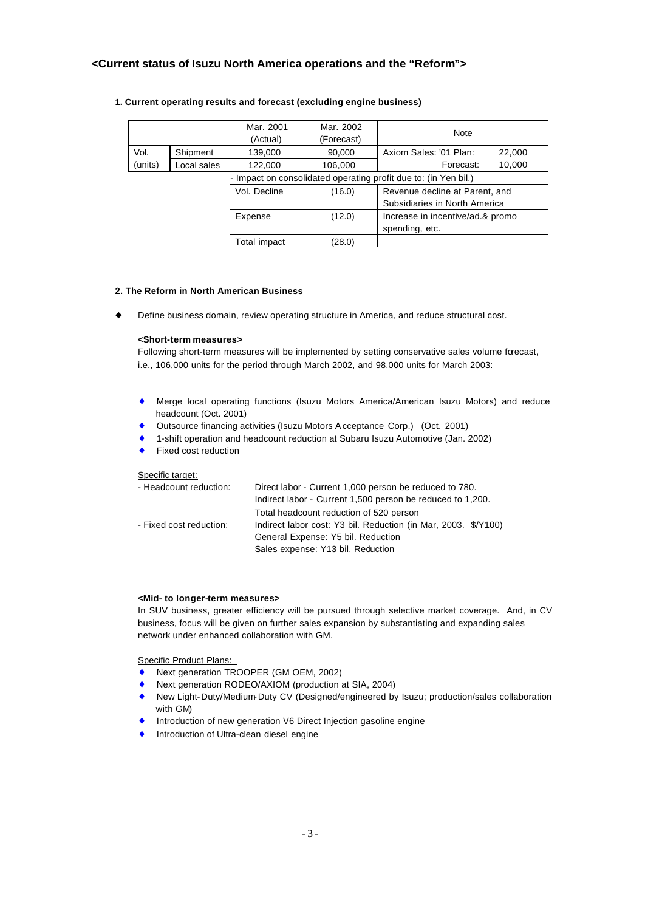### **<Current status of Isuzu North America operations and the "Reform">**

|                                                                 |             | Mar. 2001    | Mar. 2002  | <b>Note</b>                      |
|-----------------------------------------------------------------|-------------|--------------|------------|----------------------------------|
|                                                                 |             | (Actual)     | (Forecast) |                                  |
| Vol.                                                            | Shipment    | 139,000      | 90,000     | Axiom Sales: '01 Plan:<br>22,000 |
| (units)                                                         | Local sales | 122,000      | 106,000    | 10,000<br>Forecast:              |
| - Impact on consolidated operating profit due to: (in Yen bil.) |             |              |            |                                  |
|                                                                 |             | Vol. Decline | (16.0)     | Revenue decline at Parent, and   |
|                                                                 |             |              |            | Subsidiaries in North America    |
|                                                                 |             | Expense      | (12.0)     | Increase in incentive/ad.& promo |
|                                                                 |             |              |            | spending, etc.                   |
|                                                                 |             | Total impact | (28.0)     |                                  |

#### **1. Current operating results and forecast (excluding engine business)**

#### **2. The Reform in North American Business**

Define business domain, review operating structure in America, and reduce structural cost.

#### **<Short-term measures>**

Following short-term measures will be implemented by setting conservative sales volume forecast, i.e., 106,000 units for the period through March 2002, and 98,000 units for March 2003:

- ♦ Merge local operating functions (Isuzu Motors America/American Isuzu Motors) and reduce headcount (Oct. 2001)
- ♦ Outsource financing activities (Isuzu Motors Acceptance Corp.) (Oct. 2001)
- 1-shift operation and headcount reduction at Subaru Isuzu Automotive (Jan. 2002)
- Fixed cost reduction

#### Specific target:

| - Headcount reduction:  | Direct labor - Current 1,000 person be reduced to 780.<br>Indirect labor - Current 1,500 person be reduced to 1,200. |
|-------------------------|----------------------------------------------------------------------------------------------------------------------|
| - Fixed cost reduction: | Total headcount reduction of 520 person<br>Indirect labor cost: Y3 bil. Reduction (in Mar, 2003. \$/Y100)            |
|                         | General Expense: Y5 bil. Reduction<br>Sales expense: Y13 bil. Reduction                                              |
|                         |                                                                                                                      |

#### **<Mid- to longer-term measures>**

In SUV business, greater efficiency will be pursued through selective market coverage. And, in CV business, focus will be given on further sales expansion by substantiating and expanding sales network under enhanced collaboration with GM.

Specific Product Plans:

- ♦ Next generation TROOPER (GM OEM, 2002)
- ♦ Next generation RODEO/AXIOM (production at SIA, 2004)
- ♦ New Light-Duty/Medium-Duty CV (Designed/engineered by Isuzu; production/sales collaboration with GM)
- ♦ Introduction of new generation V6 Direct Injection gasoline engine
- Introduction of Ultra-clean diesel engine